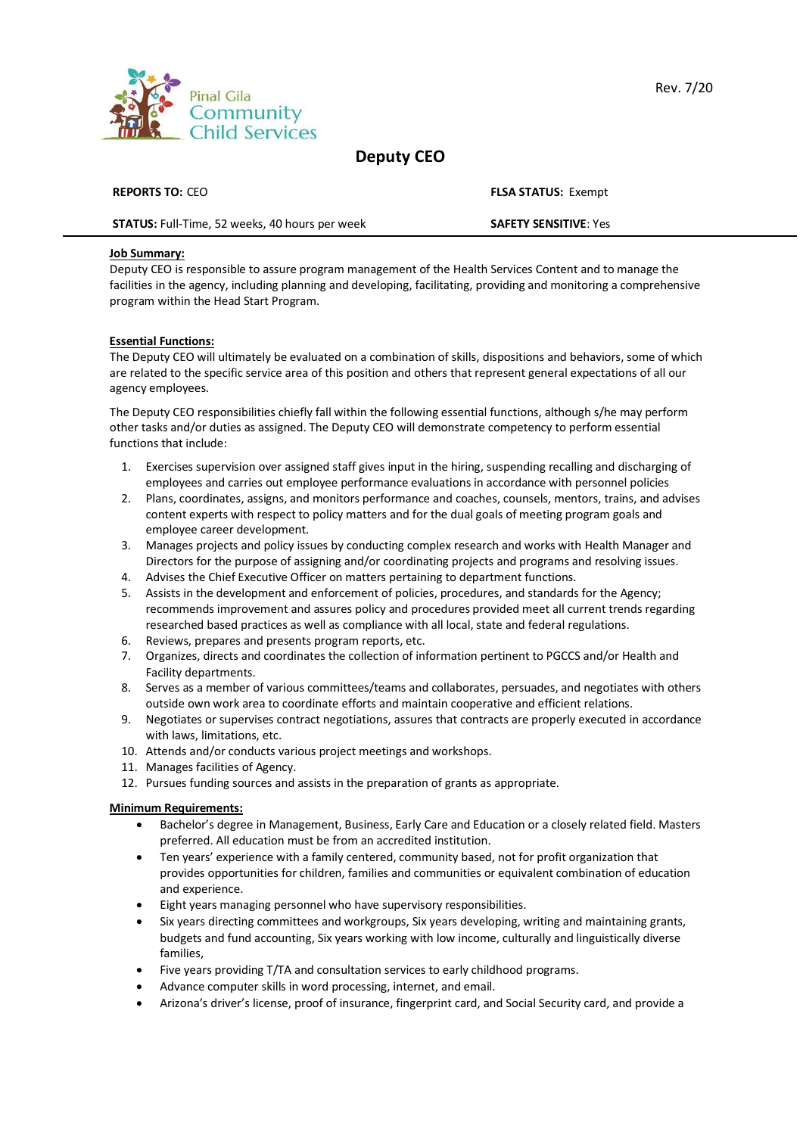

# **Deputy CEO**

| <b>REPORTS TO: CEO</b>                                |
|-------------------------------------------------------|
| <b>STATUS:</b> Full-Time, 52 weeks, 40 hours per week |

### **Job Summary:**

Deputy CEO is responsible to assure program management of the Health Services Content and to manage the facilities in the agency, including planning and developing, facilitating, providing and monitoring a comprehensive program within the Head Start Program.

## **Essential Functions:**

The Deputy CEO will ultimately be evaluated on a combination of skills, dispositions and behaviors, some of which are related to the specific service area of this position and others that represent general expectations of all our agency employees.

The Deputy CEO responsibilities chiefly fall within the following essential functions, although s/he may perform other tasks and/or duties as assigned. The Deputy CEO will demonstrate competency to perform essential functions that include:

- 1. Exercises supervision over assigned staff gives input in the hiring, suspending recalling and discharging of employees and carries out employee performance evaluations in accordance with personnel policies
- 2. Plans, coordinates, assigns, and monitors performance and coaches, counsels, mentors, trains, and advises content experts with respect to policy matters and for the dual goals of meeting program goals and employee career development.
- 3. Manages projects and policy issues by conducting complex research and works with Health Manager and Directors for the purpose of assigning and/or coordinating projects and programs and resolving issues.
- 4. Advises the Chief Executive Officer on matters pertaining to department functions.
- 5. Assists in the development and enforcement of policies, procedures, and standards for the Agency; recommends improvement and assures policy and procedures provided meet all current trends regarding researched based practices as well as compliance with all local, state and federal regulations.
- 6. Reviews, prepares and presents program reports, etc.
- 7. Organizes, directs and coordinates the collection of information pertinent to PGCCS and/or Health and Facility departments.
- 8. Serves as a member of various committees/teams and collaborates, persuades, and negotiates with others outside own work area to coordinate efforts and maintain cooperative and efficient relations.
- 9. Negotiates or supervises contract negotiations, assures that contracts are properly executed in accordance with laws, limitations, etc.
- 10. Attends and/or conducts various project meetings and workshops.
- 11. Manages facilities of Agency.
- 12. Pursues funding sources and assists in the preparation of grants as appropriate.

#### **Minimum Requirements:**

- Bachelor's degree in Management, Business, Early Care and Education or a closely related field. Masters preferred. All education must be from an accredited institution.
- Ten years' experience with a family centered, community based, not for profit organization that provides opportunities for children, families and communities or equivalent combination of education and experience.
- Eight years managing personnel who have supervisory responsibilities.
- Six years directing committees and workgroups, Six years developing, writing and maintaining grants, budgets and fund accounting, Six years working with low income, culturally and linguistically diverse families,
- Five years providing T/TA and consultation services to early childhood programs.
- Advance computer skills in word processing, internet, and email.
- Arizona's driver's license, proof of insurance, fingerprint card, and Social Security card, and provide a

**SAFFTY SENSITIVE**: Yes

**FLSA STATUS: Exempt**